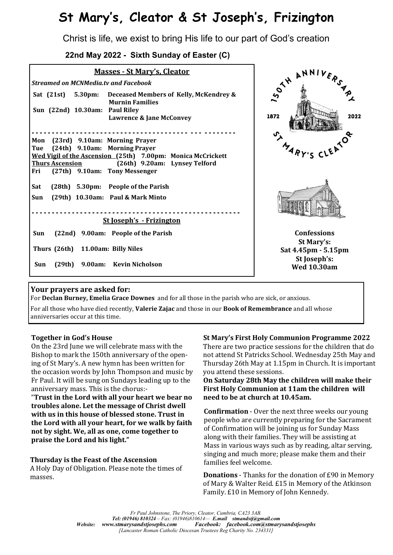# **St Mary's, Cleator & St Joseph's, Frizington**

Christ is life, we exist to bring His life to our part of God's creation

 **22nd May 2022 - Sixth Sunday of Easter (C)**

| <b>Masses - St Mary's, Cleator</b>                                                          |                                    |
|---------------------------------------------------------------------------------------------|------------------------------------|
| <b>Streamed on MCNMedia.tv and Facebook</b>                                                 |                                    |
| Sat $(21st)$<br>5.30pm:<br>Deceased Members of Kelly, McKendrey &<br><b>Murnin Families</b> | <b>SOLANDIVE</b>                   |
| Sun (22nd) 10.30am: Paul Riley<br><b>Lawrence &amp; Jane McConvey</b>                       | 2022<br>1872                       |
|                                                                                             |                                    |
| Mon<br>(23rd) 9.10am: Morning Prayer                                                        |                                    |
| (24th) 9.10am: Morning Prayer<br>Tue                                                        | MARY'S C'                          |
| Wed Vigil of the Ascension (25th) 7.00pm: Monica McCrickett                                 |                                    |
| (26th) 9.20am: Lynsey Telford<br><b>Thurs Ascension</b>                                     |                                    |
| (27th) 9.10am: Tony Messenger<br>Fri                                                        |                                    |
| Sat<br>(28th) 5.30pm: People of the Parish                                                  |                                    |
| Sun<br>(29th) 10.30am: Paul & Mark Minto                                                    |                                    |
| <b>St Joseph's - Frizington</b>                                                             |                                    |
|                                                                                             |                                    |
| Sun<br>(22nd) 9.00am: People of the Parish                                                  | <b>Confessions</b>                 |
|                                                                                             | St Mary's:                         |
| Thurs (26th)<br>11.00am: Billy Niles                                                        | Sat 4.45pm - 5.15pm                |
| Kevin Nicholson<br>(29th)<br>9.00am:<br>Sun                                                 | St Joseph's:<br><b>Wed 10.30am</b> |

### **Your prayers are asked for:**

For **Declan Burney, Emelia Grace Downes** and for all those in the parish who are sick, or anxious.

For all those who have died recently, **Valerie Zajac** and those in our **Book of Remembrance** and all whose anniversaries occur at this time.

### **Together in God's House**

On the 23rd June we will celebrate mass with the Bishop to mark the 150th anniversary of the opening of St Mary's. A new hymn has been written for the occasion words by John Thompson and music by Fr Paul. It will be sung on Sundays leading up to the anniversary mass. This is the chorus:-

"**Trust in the Lord with all your heart we bear no troubles alone. Let the message of Christ dwell with us in this house of blessed stone. Trust in the Lord with all your heart, for we walk by faith not by sight. We, all as one, come together to praise the Lord and his light."**

### **Thursday is the Feast of the Ascension**

A Holy Day of Obligation. Please note the times of masses.

### **St Mary's First Holy Communion Programme 2022**

There are two practice sessions for the children that do not attend St Patricks School. Wednesday 25th May and Thursday 26th May at 1.15pm in Church. It is important you attend these sessions.

#### **On Saturday 28th May the children will make their First Holy Communion at 11am the children will need to be at church at 10.45am.**

**Confirmation** - Over the next three weeks our young people who are currently preparing for the Sacrament of Confirmation will be joining us for Sunday Mass along with their families. They will be assisting at Mass in various ways such as by reading, altar serving, singing and much more; please make them and their families feel welcome.

**Donations** - Thanks for the donation of £90 in Memory of Mary & Walter Reid. £15 in Memory of the Atkinson Family. £10 in Memory of John Kennedy.